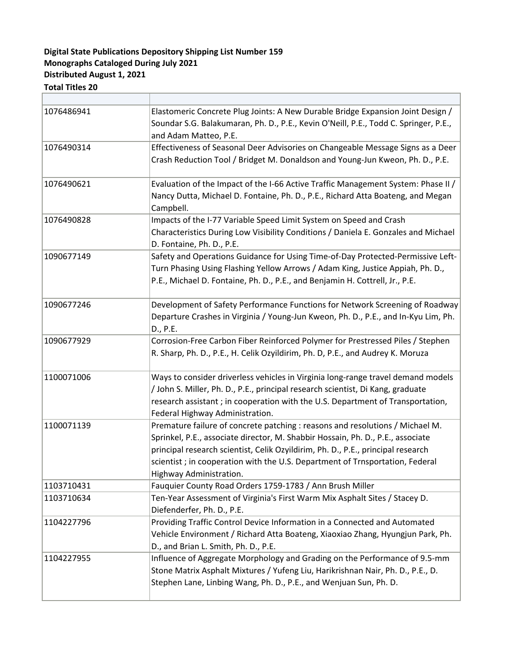## **Distributed August 1, 2021 Monographs Cataloged During July 2021 Digital State Publications Depository Shipping List Number 159**

## **Total Titles 20**

| 1076486941 | Elastomeric Concrete Plug Joints: A New Durable Bridge Expansion Joint Design /<br>Soundar S.G. Balakumaran, Ph. D., P.E., Kevin O'Neill, P.E., Todd C. Springer, P.E.,<br>and Adam Matteo, P.E.                                                                                                                                                                |
|------------|-----------------------------------------------------------------------------------------------------------------------------------------------------------------------------------------------------------------------------------------------------------------------------------------------------------------------------------------------------------------|
| 1076490314 | Effectiveness of Seasonal Deer Advisories on Changeable Message Signs as a Deer<br>Crash Reduction Tool / Bridget M. Donaldson and Young-Jun Kweon, Ph. D., P.E.                                                                                                                                                                                                |
| 1076490621 | Evaluation of the Impact of the I-66 Active Traffic Management System: Phase II /<br>Nancy Dutta, Michael D. Fontaine, Ph. D., P.E., Richard Atta Boateng, and Megan<br>Campbell.                                                                                                                                                                               |
| 1076490828 | Impacts of the I-77 Variable Speed Limit System on Speed and Crash<br>Characteristics During Low Visibility Conditions / Daniela E. Gonzales and Michael<br>D. Fontaine, Ph. D., P.E.                                                                                                                                                                           |
| 1090677149 | Safety and Operations Guidance for Using Time-of-Day Protected-Permissive Left-<br>Turn Phasing Using Flashing Yellow Arrows / Adam King, Justice Appiah, Ph. D.,<br>P.E., Michael D. Fontaine, Ph. D., P.E., and Benjamin H. Cottrell, Jr., P.E.                                                                                                               |
| 1090677246 | Development of Safety Performance Functions for Network Screening of Roadway<br>Departure Crashes in Virginia / Young-Jun Kweon, Ph. D., P.E., and In-Kyu Lim, Ph.<br>D., P.E.                                                                                                                                                                                  |
| 1090677929 | Corrosion-Free Carbon Fiber Reinforced Polymer for Prestressed Piles / Stephen<br>R. Sharp, Ph. D., P.E., H. Celik Ozyildirim, Ph. D, P.E., and Audrey K. Moruza                                                                                                                                                                                                |
| 1100071006 | Ways to consider driverless vehicles in Virginia long-range travel demand models<br>/ John S. Miller, Ph. D., P.E., principal research scientist, Di Kang, graduate<br>research assistant; in cooperation with the U.S. Department of Transportation,<br>Federal Highway Administration.                                                                        |
| 1100071139 | Premature failure of concrete patching : reasons and resolutions / Michael M.<br>Sprinkel, P.E., associate director, M. Shabbir Hossain, Ph. D., P.E., associate<br>principal research scientist, Celik Ozyildirim, Ph. D., P.E., principal research<br>scientist; in cooperation with the U.S. Department of Trnsportation, Federal<br>Highway Administration. |
| 1103710431 | Fauquier County Road Orders 1759-1783 / Ann Brush Miller                                                                                                                                                                                                                                                                                                        |
| 1103710634 | Ten-Year Assessment of Virginia's First Warm Mix Asphalt Sites / Stacey D.<br>Diefenderfer, Ph. D., P.E.                                                                                                                                                                                                                                                        |
| 1104227796 | Providing Traffic Control Device Information in a Connected and Automated<br>Vehicle Environment / Richard Atta Boateng, Xiaoxiao Zhang, Hyungjun Park, Ph.<br>D., and Brian L. Smith, Ph. D., P.E.                                                                                                                                                             |
| 1104227955 | Influence of Aggregate Morphology and Grading on the Performance of 9.5-mm<br>Stone Matrix Asphalt Mixtures / Yufeng Liu, Harikrishnan Nair, Ph. D., P.E., D.<br>Stephen Lane, Linbing Wang, Ph. D., P.E., and Wenjuan Sun, Ph. D.                                                                                                                              |